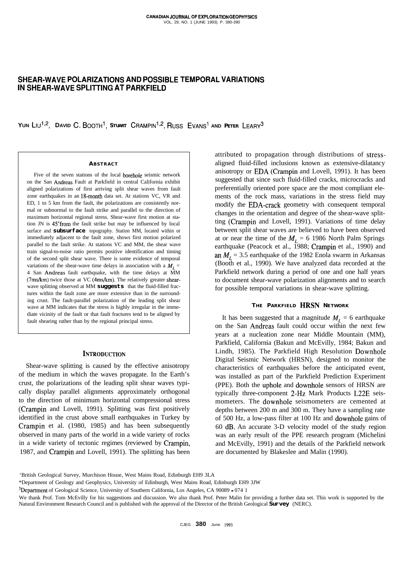# **SHEAR-WAVE POLARIZATIONS AND POSSIBLE TEMPORAL VARIATIONS IN SHEAR-WAVE SPLITTING AT PARKFIELD**

**YUN** LIU<sup>1,2</sup>, DAVID C. BOOTH<sup>1</sup>, STUART CRAMPIN<sup>1,2</sup>, RUSS EVANS<sup>1</sup> AND PETER LEARY<sup>3</sup>

#### **ABSTRACT**

Five of the seven stations of the local borehole seismic network on the San Andreas Fault at Parkfield in central California exhibit aligned polarizations of first arriving split shear waves from fault zone earthquakes in an 18-month data set. At stations VC, VR and ED, 1 to 5 km from the fault, the polarizations are consistently normal or subnormal to the fault strike and parallel to the direction of maximum horizontal regional stress. Shear-wave first motion at station JN is 45"from the fault strike but may be influenced by local surface and **subsurface** topography. Station MM, located within or immediately adjacent to the fault zone, shows first motion polarized parallel to the fault strike. At stations VC and MM, the shear wave train signal-to-noise ratio permits positive identification and timing of the second split shear wave. There is some evidence of temporal variations of the shear-wave time delays in association with a  $M_I$  = 4 San Andreas fault earthquake, with the time delays at MM (7ms/km) twice those at VC (4ms/km). The relatively greater shearwave splitting observed at MM **suggests** that the fluid-filled fractures within the fault zone are more extensive than in the surrounding crust. The fault-parallel polarization of the leading split shear wave at MM indicates that the stress is highly irregular in the immediate vicinity of the fault or that fault fractures tend to be aligned by fault shearing rather than by the regional principal stress.

#### **INTRODUCTION**

Shear-wave splitting is caused by the effective anisotropy of the medium in which the waves propagate. In the Earth's crust, the polarizations of the leading split shear waves typically display parallel alignments approximately orthogonal to the direction of minimum horizontal compressional stress (Crampin and Lovell, 1991). Splitting was first positively identified in the crust above small earthquakes in Turkey by Crampin et al. (1980, 1985) and has been subsequently observed in many parts of the world in a wide variety of rocks in a wide variety of tectonic regimes (reviewed by Crampin, 1987, and Crampin and Lovell, 1991). The splitting has been

attributed to propagation through distributions of stressaligned fluid-filled inclusions known as extensive-dilatancy anisotropy or EDA (Crampin and Lovell, 1991). It has been suggested that since such fluid-filled cracks, microcracks and preferentially oriented pore space are the most compliant elements of the rock mass, variations in the stress field may modify the EDA-crack geometry with consequent temporal changes in the orientation and degree of the shear-wave splitting (Crampin and Lovell, 1991). Variations of time delay between split shear waves are believed to have been observed at or near the time of the  $M_L = 6$  1986 North Palm Springs earthquake (Peacock et al., 1988; Crampin et al., 1990) and an  $M_L$  = 3.5 earthquake of the 1982 Enola swarm in Arkansas (Booth et al., 1990). We have analyzed data recorded at the Parkfield network during a period of one and one half years to document shear-wave polarization alignments and to search for possible temporal variations in shear-wave splitting.

### **THE PARKFIELD HRSN NETWORK**

It has been suggested that a magnitude  $M<sub>L</sub> = 6$  earthquake on the San Andreas fault could occur within the next few years at a nucleation zone near Middle Mountain (MM), Parkfield, California (Bakun and McEvilly, 1984; Bakun and Lindh, 1985). The Parkfield High Resolution Downhole Digital Seismic Network (HRSN), designed to monitor the characteristics of earthquakes before the anticipated event, was installed as part of the Parkfield Prediction Experiment (PPE). Both the uphole and downhole sensors of HRSN are typically three-component 2-Hz Mark Products L22E seismometers. The downhole seismometers are cemented at depths between 200 m and 300 m. They have a sampling rate of 500 Hz, a low-pass filter at 100 Hz and downhole gains of 60 dB. An accurate 3-D velocity model of the study region was an early result of the PPE research program (Michelini and McEvilly, 1991) and the details of the Parkfield network are documented by Blakeslee and Malin (1990).

<sup>&#</sup>x27;British Geological Survey, Murchison House, West Mains Road, Edinburgh EH9 3LA

<sup>\*</sup>Department of Geology and Geophysics, University of Edinburgh, West Mains Road, Edinburgh EH9 3JW

<sup>3</sup>Department of Geological Science, University of Southern California, Los Angeles, CA 90089 - 074 1

We thank Prof. Tom McEvilly for his suggestions and discussion. We also thank Prof. Peter Malin for providing a further data set. This work is supported by the Natural Environment Research Council and is published with the approval of the Director of the British Geological **Survey** (NERC).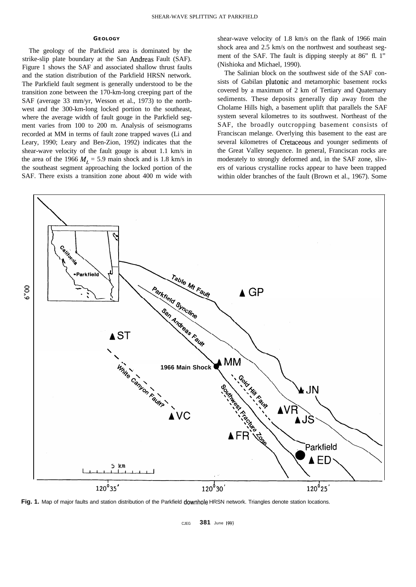#### **GEOLOGY**

The geology of the Parkfieid area is dominated by the strike-slip plate boundary at the San Andreas Fault (SAF). Figure 1 shows the SAF and associated shallow thrust faults and the station distribution of the Parkfield HRSN network. The Parkfield fault segment is generally understood to be the transition zone between the 170-km-long creeping part of the SAF (average 33 mm/yr, Wesson et al., 1973) to the northwest and the 300-km-long locked portion to the southeast, where the average width of fault gouge in the Parkfield segment varies from 100 to 200 m. Analysis of seismograms recorded at MM in terms of fault zone trapped waves (Li and Leary, 1990; Leary and Ben-Zion, 1992) indicates that the shear-wave velocity of the fault gouge is about 1.1 km/s in the area of the 1966  $M_L = 5.9$  main shock and is 1.8 km/s in the southeast segment approaching the locked portion of the SAF. There exists a transition zone about 400 m wide with

shear-wave velocity of 1.8 km/s on the flank of 1966 main shock area and 2.5 km/s on the northwest and southeast segment of the SAF. The fault is dipping steeply at 86" fl. 1" (Nishioka and Michael, 1990).

The Salinian block on the southwest side of the SAF consists of Gabilan plutonic and metamorphic basement rocks covered by a maximum of 2 km of Tertiary and Quaternary sediments. These deposits generally dip away from the Cholame Hills high, a basement uplift that parallels the SAF system several kilometres to its southwest. Northeast of the SAF, the broadly outcropping basement consists of Franciscan melange. Overlying this basement to the east are several kilometres of Cretaceous and younger sediments of the Great Valley sequence. In general, Franciscan rocks are moderately to strongly deformed and, in the SAF zone, slivers of various crystalline rocks appear to have been trapped within older branches of the fault (Brown et al., 1967). Some



Fig. 1. Map of major faults and station distribution of the Parkfield downhole HRSN network. Triangles denote station locations.

CJEG **381** June 1993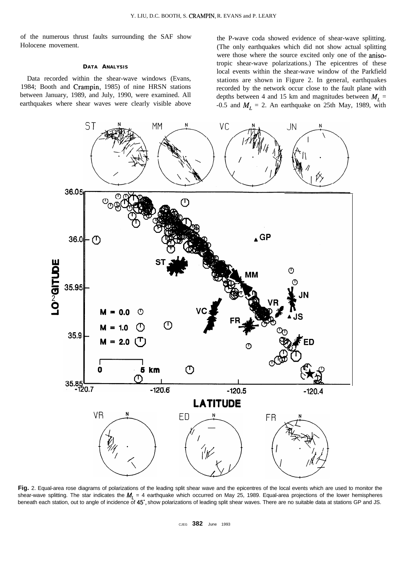of the numerous thrust faults surrounding the SAF show Holocene movement.

### **DATA ANALYSIS**

Data recorded within the shear-wave windows (Evans, 1984; Booth and Crampin, 1985) of nine HRSN stations between January, 1989, and July, 1990, were examined. All earthquakes where shear waves were clearly visible above the P-wave coda showed evidence of shear-wave splitting. (The only earthquakes which did not show actual splitting were those where the source excited only one of the anisotropic shear-wave polarizations.) The epicentres of these local events within the shear-wave window of the Parkfield stations are shown in Figure 2. In general, earthquakes recorded by the network occur close to the fault plane with depths between 4 and 15 km and magnitudes between  $M_L$  = -0.5 and  $M_L = 2$ . An earthquake on 25th May, 1989, with



**Fig.** 2. Equal-area rose diagrams of polarizations of the leading split shear wave and the epicentres of the local events which are used to monitor the shear-wave splitting. The star indicates the  $M_l = 4$  earthquake which occurred on May 25, 1989. Equal-area projections of the lower hemispheres beneath each station, out to angle of incidence of 45°, show polarizations of leading split shear waves. There are no suitable data at stations GP and JS.

CJEG **382** June 1993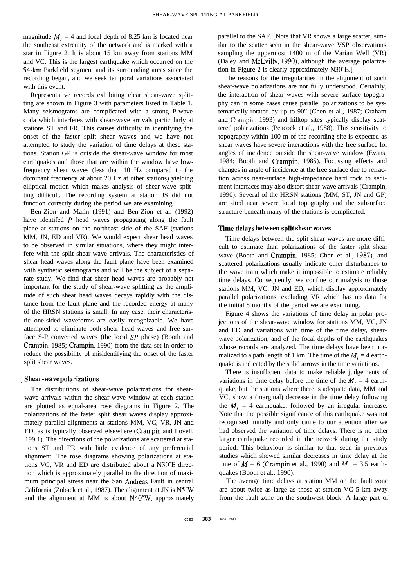magnitude  $M_l = 4$  and focal depth of 8.25 km is located near the southeast extremity of the network and is marked with a star in Figure 2. It is about 15 km away from stations MM and VC. This is the largest earthquake which occurred on the 54-km Parkfield segment and its surrounding areas since the recording began, and we seek temporal variations associated with this event.

Representative records exhibiting clear shear-wave splitting are shown in Figure 3 with parameters listed in Table 1. Many seismograms are complicated with a strong P-wave coda which interferes with shear-wave arrivals particularly at stations ST and FR. This causes difficulty in identifying the onset of the faster split shear waves and we have not attempted to study the variation of time delays at these stations. Station GP is outside the shear-wave window for most earthquakes and those that are within the window have lowfrequency shear waves (less than 10 Hz compared to the dominant frequency at about 20 Hz at other stations) yielding elliptical motion which makes analysis of shear-wave splitting difficult. The recording system at station JS did not function correctly during the period we are examining.

Ben-Zion and Malin (1991) and Ben-Zion et al. (1992) have identifed  $P$  head waves propagating along the fault plane at stations on the northeast side of the SAF (stations MM, JN, ED and VR). We would expect shear head waves to be observed in similar situations, where they might interfere with the split shear-wave arrivals. The characteristics of shear head waves along the fault plane have been examined with synthetic seismograms and will be the subject of a separate study. We find that shear head waves are probably not important for the study of shear-wave splitting as the amplitude of such shear head waves decays rapidly with the distance from the fault plane and the recorded energy at many of the HRSN stations is small. In any case, their characteristic one-sided waveforms are easily recognizable. We have attempted to eliminate both shear head waves and free surface S-P converted waves (the local SP phase) (Booth and Crampin, 1985; Crampin, 1990) from the data set in order to reduce the possibility of misidentifying the onset of the faster split shear waves.

### **. Shear-wave polarizations**

The distributions of shear-wave polarizations for shearwave arrivals within the shear-wave window at each station are plotted as equal-area rose diagrams in Figure 2. The polarizations of the faster split shear waves display approximately parallel alignments at stations MM, VC, VR, JN and ED, as is typically observed elsewhere (Crampin and Lovell, 199 1). The directions of the polarizations are scattered at stations ST and FR with little evidence of any preferential alignment. The rose diagrams showing polarizations at stations VC, VR and ED are distributed about a N30"E direction which is approximately parallel to the direction of maximum principal stress near the San Andreas Fault in central California (Zoback et al., 1987). The alignment at JN is N5"W and the alignment at MM is about N40"W, approximately

parallel to the SAF. [Note that VR shows a large scatter, similar to the scatter seen in the shear-wave VSP observations sampling the uppermost 1400 m of the Varian Well (VR) (Daley and McEvilly, 1990), although the average polarization in Figure 2 is clearly approximately N30"E.l

The reasons for the irregularities in the alignment of such shear-wave polarizations are not fully understood. Certainly, the interaction of shear waves with severe surface topography can in some cases cause parallel polarizations to be systematically rotated by up to 90" (Chen et al., 1987; Graham and Crampin, 1993) and hilltop sites typically display scattered polarizations (Peacock et al,, 1988). This sensitivity to topography within 100 m of the recording site is expected as shear waves have severe interactions with the free surface for angles of incidence outside the shear-wave window (Evans, 1984; Booth and Crampin, 1985). Focussing effects and changes in angle of incidence at the free surface due to refraction across near-surface high-impedance hard rock to sediment interfaces may also distort shear-wave arrivals (Crampin, 1990). Several of the HRSN stations (MM, ST, JN and GP) are sited near severe local topography and the subsurface structure beneath many of the stations is complicated.

### **Time delays between split shear waves**

Time delays between the split shear waves are more difficult to estimate than polarizations of the faster split shear wave (Booth and Crampin, 1985; Chen et al., 1987), and scattered polarizations usually indicate other disturbances to the wave train which make it impossible to estimate reliably time delays. Consequently, we confine our analysis to those stations MM, VC, JN and ED, which display approximately parallel polarizations, excluding VR which has no data for the initial 8 months of the period we are examining.

Figure 4 shows the variations of time delay in polar projections of the shear-wave window for stations MM, VC, JN and ED and variations with time of the time delay, shearwave polarization, and of the focal depths of the earthquakes whose records are analyzed. The time delays have been normalized to a path length of 1 km. The time of the  $M_1 = 4$  earthquake is indicated by the solid arrows in the time variations.

There is insufficient data to make reliable judgements of variations in time delay before the time of the  $M_l = 4$  earthquake, but the stations where there is adequate data, MM and VC, show a (marginal) decrease in the time delay following the  $M_l = 4$  earthquake, followed by an irregular increase. Note that the possible significance of this earthquake was not recognized initially and only came to our attention after we had observed the variation of time delays. There is no other larger earthquake recorded in the network during the study period. This behaviour is similar to that seen in previous studies which showed similar decreases in time delay at the time of  $M = 6$  (Crampin et al., 1990) and  $M = 3.5$  earthquakes (Booth et al., 1990).

The average time delays at station MM on the fault zone are about twice as large as those at station VC 5 km away from the fault zone on the southwest block. A large part of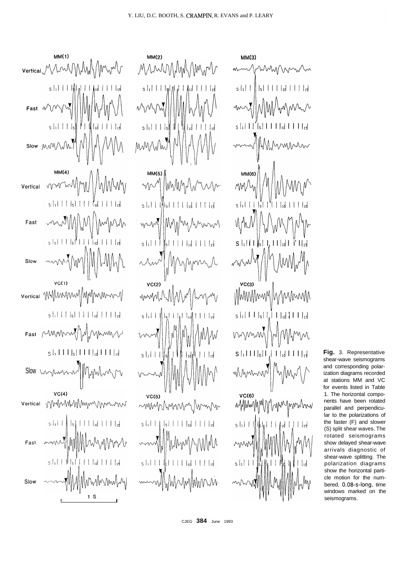۱M

 $\| \cdot \|_1$   $\|$   $\|$   $\|$   $\|$   $\|$   $\|$   $\|$ 

MunMMM

 $s \mid_1$  | | |

 $s \mid_1$ | | |  $s$ 

 $MM(5)$ 

my

ww

 $s \mid_1$ | | |

 $VC(2)$ 

mmM

 $s \mid_1$ | | |

 $VC(5)$ 

mmhhmm

M. W

∥

'MMM

 $s + 1 + 1 + s + 1 + 1 + t + 1 + t + s$ 

الإهدا⊧∥ ا\_

۱W

 $\|s\| + \|f\|_{1d} + \|f\|_{1d}$ 

n m

M۸



**MM(3)** WWWW  $s|_1$ | | ANMAZ hMM shl I I'M I I I IId I I I IId MMMM MM(6) MM  $s \frac{1}{1}$  | | |  $s$  | | | | | | | | | | | |  $S \cup \{1 | 1 | \$ <sub>s</sub> $\}$   $\cup$ ,  $\{1 | 1|$ <sub>1d</sub>  $\}$  i'  $\}$  $VC(3)$ Munnmun/hnnm  $s|_1$ | | |  $|_5$ | | | | | | $_6$ | | | | | $_7$ MWN  $S$   $\frac{1}{1}$   $\left| \frac{1}{1} \right|$   $\left| \frac{1}{1} \right|$   $\left| \frac{1}{1} \right|$   $\left| \frac{1}{1} \right|$   $\left| \frac{1}{1} \right|$ MMmm /Mn **VC(6)** nyyhhnyh jmmhmv MMM  $s \mid_1$ | | |  $\perp$ 

**Fig.** 3. Representative shear-wave seismograms and corresponding polarization diagrams recorded at stations MM and VC for events listed in Table 1. The horizontal components have been rotated parallel and perpendicular to the polarizations of the faster (F) and slower (S) split shear waves. The rotated seismograms show delayed shear-wave arrivals diagnostic of shear-wave splitting. The polarization diagrams show the horizontal particle motion for the numbered, 0.08-s-long, time windows marked on the seismograms.

CJEG **384** June 1993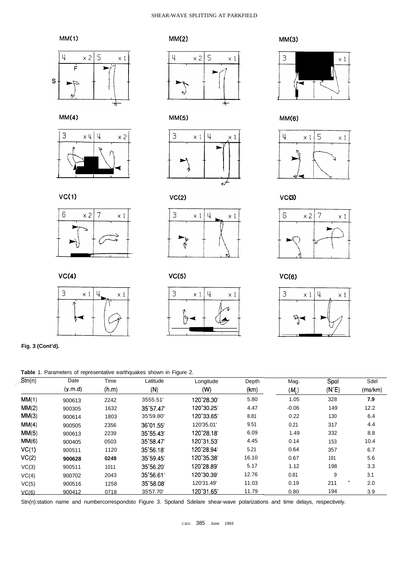## SHEAR-WAVE SPLITTING AT PARKFIELD





 $MM(4)$ 





 $VC(2)$ 







 $MM(5)$  MM(6)





**VC(6)**



**VC(1)**





 $\begin{picture}(180,10) \put(0,0){\line(1,0){10}} \put(10,0){\line(1,0){10}} \put(10,0){\line(1,0){10}} \put(10,0){\line(1,0){10}} \put(10,0){\line(1,0){10}} \put(10,0){\line(1,0){10}} \put(10,0){\line(1,0){10}} \put(10,0){\line(1,0){10}} \put(10,0){\line(1,0){10}} \put(10,0){\line(1,0){10}} \put(10,0){\line(1,0){10}} \put(10,0){\line($ 

1 I I L

 $VC(5)$ 

3  $\times 1$  4



**Fig. 3 (Cont'd).**

**Table** 1. Parameters of representative earthquakes shown in Figure 2.

| Str(n) | Date<br>(y.m.d) | Time<br>(h.m) | Latitude<br>(N)    | Longitude<br>(W) | Depth<br>(km) | Mag.<br>$(M_L)$ | Spol<br>$(N^{\circ}E)$ | Sdel<br>(ms/km) |
|--------|-----------------|---------------|--------------------|------------------|---------------|-----------------|------------------------|-----------------|
|        |                 |               |                    |                  |               |                 |                        |                 |
| MM(2)  | 900305          | 1632          | 35 57.47           | 120°30.25'       | 4.47          | $-0.06$         | 149                    | 12.2            |
| MM(3)  | 900614          | 1803          | 35'59.80'          | 120°33.65'       | 8.81          | 0.22            | 130                    | 6.4             |
| MM(4)  | 900505          | 2356          | 36°01.55'          | 120'35.01'       | 9.51          | 0.21            | 317                    | 4.4             |
| MM(5)  | 900613          | 2239          | 35°55.43'          | 120°28.18'       | 6.09          | 1.49            | 332                    | 8.8             |
| MM(6)  | 900405          | 0503          | 35°58.47'          | 120°31.53'       | 4.45          | 0.14            | 153                    | 10.4            |
| VC(1)  | 900511          | 1120          | $35^{\circ}56.18'$ | 120°28.94'       | 5.21          | 0.64            | 357                    | 6.7             |
| VC(2)  | 900628          | 0249          | 35°59.45'          | 120°35.38'       | 16.10         | 0.67            | 191                    | 5.6             |
| VC(3)  | 900511          | 1011          | 35°56.20'          | 120°28.89'       | 5.17          | 1.12            | 198                    | 3.3             |
| VC(4)  | 900702          | 2043          | 35°56.61'          | 120°30.39'       | 12.76         | 0.81            | 9                      | 3.1             |
| VC(5)  | 900516          | 1258          | 35°58.08'          | 120'31.49'       | 11.03         | 0.19            | 211                    | 2.0             |
| VC(6)  | 900412          | 0718          | 35'57.70'          | 120°31.65'       | 11.79         | 0.80            | 194                    | 3.9             |

Stn(n):station name and numbercorrespondsto Figure 3. Spoland Sdelare shear-wave polarizations and time delays, respectively.

**VC(4)**

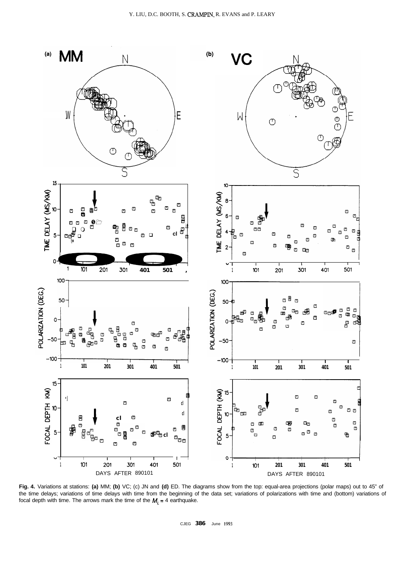

Fig. 4. Variations at stations: (a) MM; (b) VC; (c) JN and (d) ED. The diagrams show from the top: equal-area projections (polar maps) out to 45" of the time delays; variations of time delays with time from the beginning of the data set; variations of polarizations with time and (bottom) variations of focal depth with time. The arrows mark the time of the  $M_i = 4$  earthquake.

CJEG  $386$ June 1993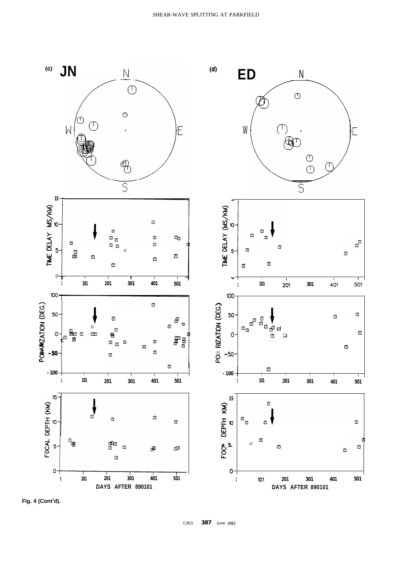

Fig. 4 (Cont'd).

387 June 1993 CJEG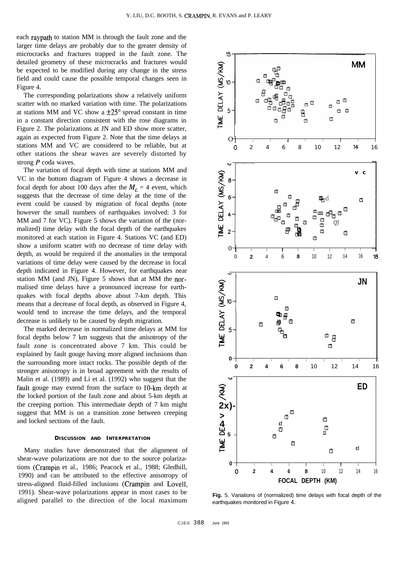each raypath to station MM is through the fault zone and the larger time delays are probably due to the greater density of microcracks and fractures trapped in the fault zone. The detailed geometry of these microcracks and fractures would be expected to be modified during any change in the stress field and could cause the possible temporal changes seen in Figure 4.

The corresponding polarizations show a relatively uniform scatter with no marked variation with time. The polarizations at stations MM and VC show a  $\pm 25^{\circ}$  spread constant in time in a constant direction consistent with the rose diagrams in Figure 2. The polarizations at JN and ED show more scatter, again as expected from Figure 2. Note that the time delays at stations MM and VC are considered to be reliable, but at other stations the shear waves are severely distorted by strong  $P$  coda waves.

The variation of focal depth with time at stations MM and VC in the bottom diagram of Figure 4 shows a decrease in focal depth for about 100 days after the  $M<sub>L</sub> = 4$  event, which suggests that the decrease of time delay at the time of the event could be caused by migration of focal depths (note however the small numbers of earthquakes involved: 3 for MM and 7 for VC). Figure 5 shows the variation of the (normalized) time delay with the focal depth of the earthquakes monitored at each station in Figure 4. Stations VC (and ED) show a uniform scatter with no decrease of time delay with depth, as would be required if the anomalies in the temporal variations of time delay were caused by the decrease in focal depth indicated in Figure 4. However, for earthquakes near station MM (and JN), Figure 5 shows that at MM the normalised time delays have a pronounced increase for earthquakes with focal depths above about 7-km depth. This means that a decrease of focal depth, as observed in Figure 4, would tend to increase the time delays, and the temporal decrease is unlikely to be caused by depth migration.

The marked decrease in normalized time delays at MM for focal depths below 7 km suggests that the anisotropy of the fault zone is concentrated above 7 km. This could be explained by fault gouge having more aligned inclusions than the surrounding more intact rocks. The possible depth of the stronger anisotropy is in broad agreement with the results of Malin et al. (1989) and Li et al. (1992) who suggest that the fault gouge may extend from the surface to 10-km depth at the locked portion of the fault zone and about 5-km depth at the creeping portion. This intermediate depth of 7 km might suggest that MM is on a transition zone between creeping and locked sections of the fault.

### **DISCUSSION AND INTERPRETATION**

Many studies have demonstrated that the alignment of shear-wave polarizations are not due to the source polarizations (Crampin et al., 1986; Peacock et al., 1988; Gledhill, 1990) and can be attributed to the effective anisotropy of stress-aligned fluid-filled inclusions (Crampin and Lovell, 1991). Shear-wave polarizations appear in most cases to be aligned parallel to the direction of the local maximum



**Fig.** 5. Variations of (normalized) time delays with focal depth of the earthquakes monitored in Figure 4.

CJEG 388

June 1993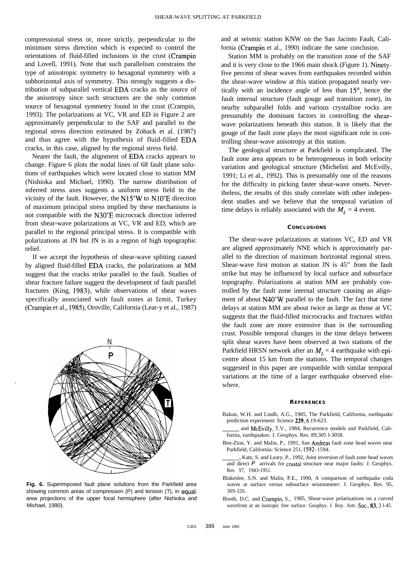compressional stress or, more strictly, perpendicular to the minimum stress direction which is expected to control the orientations of fluid-filled inclusions in the crust (Crampin and Lovell, 1991). Note that such parallelism constrains the type of anisotropic symmetry to hexagonal symmetry with a subhorizontal axis of symmetry. This strongly suggests a distribution of subparallel vertical EDA cracks as the source of the anisotropy since such structures are the only common source of hexagonal symmetry found in the crust (Crampin, 1993). The polarizations at VC, VR and ED in Figure 2 are approximately perpendicular to the SAF and parallel to the regional stress direction estimated by Zoback et al. (1987) and thus agree with the hypothesis of fluid-filled EDA cracks, in this case, aligned by the regional stress field.

Nearer the fault, the alignment of EDA cracks appears to change. Figure 6 plots the nodal lines of 68 fault plane solutions of earthquakes which were located close to station MM (Nishioka and Michael, 1990). The narrow distribution of inferred stress axes suggests a uniform stress field in the vicinity of the fault. However, the N15"W to N1O"E direction of maximum principal stress implied by these mechanisms is not compatible with the N30"E microcrack direction inferred from shear-wave polarizations at VC, VR and ED, which are parallel to the regional principal stress. It is compatible with polarizations at JN but JN is in a region of high topographic relief.

If we accept the hypothesis of shear-wave splitting caused by aligned fluid-filled EDA cracks, the polarizations at MM suggest that the cracks strike parallel to the fault. Studies of shear fracture failure suggest the development of fault parallel fractures (King, 1983), while observations of shear waves specifically associated with fault zones at Izmit, Turkey (Crampin et al., 1985), Oroville, California (Lear-y et al., 1987)



**Fig. 6.** Superimposed fault plane solutions from the Parkfield area showing common areas of compression (P) and tension (T), in equalarea projections of the upper focal hemisphere (after Nishioka and Michael, 1990).

and at seismic station KNW on the San Jacinto Fault, California (Crampin et al., 1990) indicate the same conclusion.

Station MM is probably on the transition zone of the SAF and it is very close to the 1966 main shock (Figure 1). Ninetyfive percent of shear waves from earthquakes recorded within the shear-wave window at this station propagated nearly vertically with an incidence angle of less than  $15^{\circ}$ , hence the fault internal structure (fault gouge and transition zone), its nearby subparallel folds and various crystalline rocks are presumably the dominant factors in controlling the shearwave polarizations beneath this station. It is likely that the gouge of the fault zone plays the most significant role in controlling shear-wave anisotropy at this station.

The geological structure at Parkfield is complicated. The fault zone area appears to be heterogeneous in both velocity variation and geological structure (Michelini and McEvilly, 1991; Li et al., 1992). This is presumably one of the reasons for the difficulty in picking faster shear-wave onsets. Nevertheless, the results of this study correlate with other independent studies and we believe that the temporal variation of time delays is reliably associated with the  $M_1 = 4$  event.

#### **CONCLUSIONS**

The shear-wave polarizations at stations VC, ED and VR are aligned approximately NNE which is approximately parallel to the direction of maximum horizontal regional stress. Shear-wave first motion at station JN is 45" from the fault strike but may be influenced by local surface and subsurface topography. Polarizations at station MM are probably controlled by the fault zone internal structure causing an alignment of about N40"W parallel to the fault. The fact that time delays at station MM are about twice as large as those at VC suggests that the fluid-filled microcracks and fractures within the fault zone are more extensive than in the surrounding crust. Possible temporal changes in the time delays between split shear waves have been observed at two stations of the Parkfield HRSN network after an  $M<sub>L</sub> = 4$  earthquake with epicentre about 15 km from the stations. The temporal changes suggested in this paper are compatible with similar temporal variations at the time of a larger earthquake observed elsewhere.

#### **REFERENCES**

- Bakun, W.H. and Lindh, A.G., 1985, The Parkfield, California, earthquake prediction experiment: Science 229, 6 19-623.
- and McEvilly, T.V., 1984, Recurrence models and Parkfield, California, earthquakes: J. Geophys. Res. 89,305 l-3058.
- Ben-Zion, Y. and Malin, P., 1991, San Andreas fault zone head waves near Parkfield, California: Science 251, 1592- 1594.
- , Katz, S. and Leary, P., 1992, Joint inversion of fault zone head waves and direct *P* arrivals for crustal structure near major faults: J. Geophys. Res. 97, 1943-1951.
- Blakeslee, S.N. and Malin, P.E., 1990, A comparison of earthquake coda waves at surface versus subsurface seismometer: J. Geophys. Res. 95, 309-326.
- Booth, D.C. and Crampin, S., 1985, Shear-wave polarizations on a curved wavefront at an isotropic free surface: Geophys. J. Roy. Astr. Soc., 83, 3 1-45.

CJEG 389 June 1993